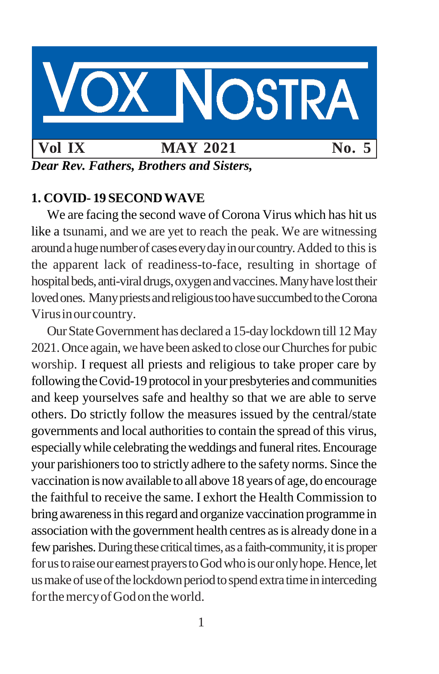

*Dear Rev. Fathers, Brothers and Sisters,*

# **1. COVID- 19 SECONDWAVE**

We are facing the second wave of Corona Virus which has hit us like a tsunami, and we are yet to reach the peak. We are witnessing around a huge number of cases every day in our country. Added to this is the apparent lack of readiness-to-face, resulting in shortage of hospital beds, anti-viral drugs, oxygen and vaccines. Many have lost their loved ones. Many priests and religious too have succumbed to the Corona Virusinourcountry.

OurStateGovernment has declared a 15-daylockdown till 12May 2021. Once again, we have been asked to close our Churches for pubic worship. I request all priests and religious to take proper care by following the Covid-19 protocol in your presbyteries and communities and keep yourselves safe and healthy so that we are able to serve others. Do strictly follow the measures issued by the central/state governments and local authoritiesto contain the spread of this virus, especially while celebrating the weddings and funeral rites. Encourage your parishioners too to strictly adhere to the safety norms. Since the vaccination is now available to all above 18 years of age, do encourage the faithful to receive the same. I exhort the Health Commission to bring awareness in this regard and organize vaccination programme in association with the government health centres as is already done in a few parishes. During these critical times, as a faith-community, it is proper for us to raise our earnest prayers to God who is our only hope. Hence, let us make of use of the lockdown period to spend extra time in interceding for the mercy of God on the world.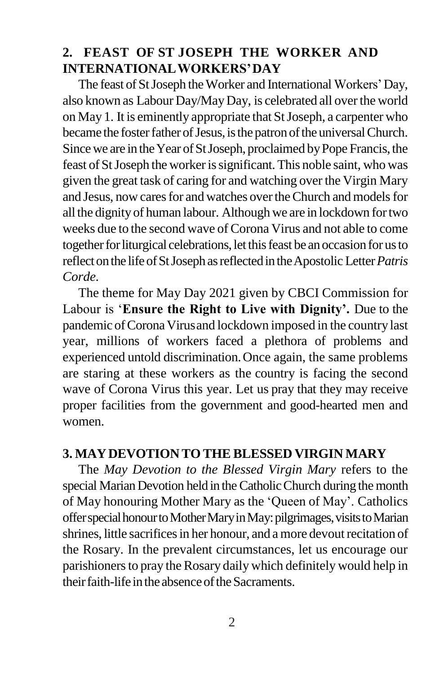## **2. FEAST OF ST JOSEPH THE WORKER AND INTERNATIONALWORKERS'DAY**

The feast of St Joseph the Worker and International Workers' Day, also known as Labour Day/May Day, is celebrated all over the world on May 1. It is eminently appropriate that StJoseph, a carpenter who became the foster father of Jesus, is the patron of the universal Church. Since we are in the Year of St Joseph, proclaimed by Pope Francis, the feast of St Joseph the worker is significant. This noble saint, who was given the great task of caring for and watching over the Virgin Mary and Jesus, now cares for and watches over the Church and models for all the dignityof human labour. Although we are in lockdown fortwo weeks due to the second wave of Corona Virus and not able to come together for liturgical celebrations, let this feast be an occasion for us to reflectonthe lifeofStJoseph asreflectedin theApostolic Letter*Patris Corde.*

The theme for May Day 2021 given by CBCI Commission for Labour is '**Ensure the Right to Live with Dignity'.** Due to the pandemic of Corona Virus and lockdown imposed in the country last year, millions of workers faced a plethora of problems and experienced untold discrimination.Once again, the same problems are staring at these workers as the country is facing the second wave of Corona Virus this year. Let us pray that they may receive proper facilities from the government and good-hearted men and women.

### **3. MAYDEVOTION TO THE BLESSED VIRGIN MARY**

The *May Devotion to the Blessed Virgin Mary* refers to the special Marian Devotion held in the Catholic Church during the month of May honouring Mother Mary as the 'Queen of May'. Catholics offer special honour to Mother Mary in May: pilgrimages, visits to Marian shrines, little sacrifices in her honour, and a more devout recitation of the Rosary. In the prevalent circumstances, let us encourage our parishioners to pray the Rosary daily which definitely would help in their faith-life in the absence of the Sacraments.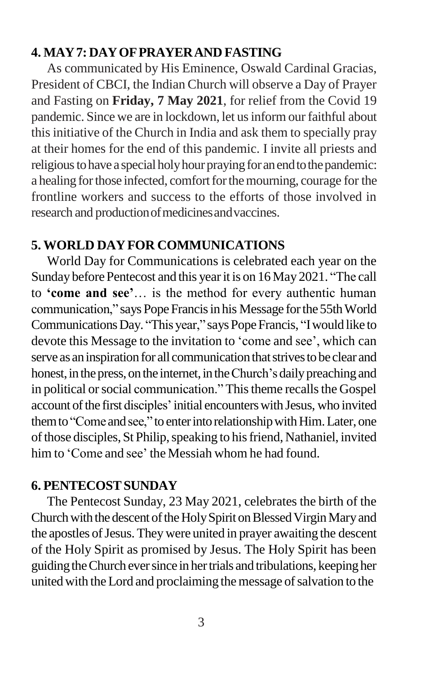### **4. MAY7: DAYOFPRAYERAND FASTING**

As communicated by His Eminence, Oswald Cardinal Gracias, President of CBCI, the Indian Church will observe a Day of Prayer and Fasting on **Friday, 7 May 2021**, for relief from the Covid 19 pandemic. Since we are in lockdown, let usinform our faithful about this initiative of the Church in India and ask them to specially pray at their homes for the end of this pandemic. I invite all priests and religious to have a special holy hour praying for an end to the pandemic: a healing for those infected, comfort for the mourning, courage for the frontline workers and success to the efforts of those involved in research and production of medicines and vaccines.

### **5. WORLD DAYFOR COMMUNICATIONS**

World Day for Communications is celebrated each year on the Sunday before Pentecost and this year it is on 16 May 2021. "The call to **'come and see'**… is the method for every authentic human communication," says Pope Francis in his Message for the 55th World Communications Day. "This year," says Pope Francis, "I would like to devote this Message to the invitation to 'come and see', which can serve as an inspiration for all communication that strives to be clear and honest, in the press, on the internet, in the Church's daily preaching and in political or social communication." This theme recalls the Gospel account of the first disciples' initial encounters with Jesus, who invited them to "Come and see," to enter into relationship with Him. Later, one of those disciples, St Philip, speaking to his friend, Nathaniel, invited him to 'Come and see' the Messiah whom he had found.

### **6. PENTECOSTSUNDAY**

The Pentecost Sunday, 23 May 2021, celebrates the birth of the Church with the descent of the Holy Spirit on Blessed Virgin Mary and the apostles of Jesus. They were united in prayer awaiting the descent of the Holy Spirit as promised by Jesus. The Holy Spirit has been guiding the Church ever since in her trials and tribulations, keeping her united with the Lord and proclaiming the message of salvation to the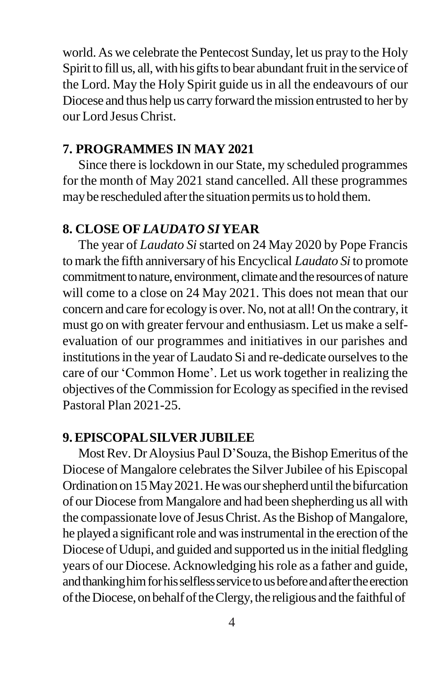world. As we celebrate the Pentecost Sunday, let us pray to the Holy Spirit to fill us, all, with his gifts to bear abundant fruit in the service of the Lord. May the Holy Spirit guide us in all the endeavours of our Diocese and thus help us carry forward the mission entrusted to her by our Lord JesusChrist.

#### **7. PROGRAMMES IN MAY 2021**

Since there is lockdown in our State, my scheduled programmes for the month of May 2021 stand cancelled. All these programmes may be rescheduled after the situation permits us to hold them.

#### **8. CLOSE OF***LAUDATO SI* **YEAR**

The year of *Laudato Si*started on 24 May 2020 by Pope Francis tomark the fifth anniversary of his Encyclical *Laudato Si* to promote commitment to nature, environment, climate and the resources of nature will come to a close on 24 May 2021. This does not mean that our concern and care for ecology is over. No, not at all! On the contrary, it must go on with greater fervour and enthusiasm. Let us make a selfevaluation of our programmes and initiatives in our parishes and institutions in the year of Laudato Si and re-dedicate ourselves to the care of our 'Common Home'. Let us work together in realizing the objectives of the Commission for Ecology as specified in the revised Pastoral Plan 2021-25.

#### **9.EPISCOPALSILVERJUBILEE**

Most Rev. Dr Aloysius Paul D'Souza, the Bishop Emeritus of the Diocese of Mangalore celebrates the Silver Jubilee of his Episcopal Ordination on 15 May 2021. He was our shepherd until the bifurcation of our Diocese from Mangalore and had been shepherding us all with the compassionate love of Jesus Christ. As the Bishop of Mangalore, he played a significant role and was instrumental in the erection of the Diocese of Udupi, and guided and supported us in the initial fledgling years of our Diocese. Acknowledging hisrole as a father and guide, and thanking him for his selfless service to us before and after the erection oftheDiocese,onbehalfoftheClergy,the religious andthe faithfulof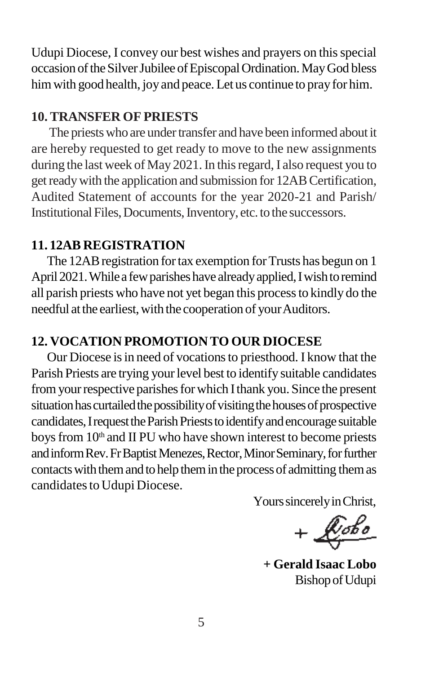Udupi Diocese, I convey our best wishes and prayers on this special occasion of the Silver Jubilee of Episcopal Ordination. May God bless him with good health, joy and peace. Let us continue to pray for him.

## **10. TRANSFER OF PRIESTS**

The priests who are under transfer and have been informed about it are hereby requested to get ready to move to the new assignments during the last week of May 2021. In this regard, I also request you to get ready with the application and submission for 12AB Certification, Audited Statement of accounts for the year 2020-21 and Parish/ Institutional Files, Documents, Inventory, etc. to the successors.

## **11. 12AB REGISTRATION**

The 12AB registration for tax exemption for Trusts has begun on 1 April 2021. While a few parishes have already applied, I wish to remind all parish priests who have not yet began this processto kindly do the needful at the earliest, with the cooperation of your Auditors.

# **12. VOCATION PROMOTION TO OUR DIOCESE**

Our Diocese is in need of vocations to priesthood. I know that the Parish Priests are trying your level best to identify suitable candidates from your respective parishes for which I thank you. Since the present situation has curtailed the possibility of visiting the houses of prospective candidates, I request the Parish Priests to identify and encourage suitable boys from 10<sup>th</sup> and II PU who have shown interest to become priests and inform Rev. Fr Baptist Menezes, Rector, Minor Seminary, for further contacts with them and to help them in the process of admitting them as candidates to Udupi Diocese.

Yours sincerely in Christ,

 $+$  $\sqrt{\frac{b_{obs}}{c}}$ 

**+ Gerald Isaac Lobo** BishopofUdupi